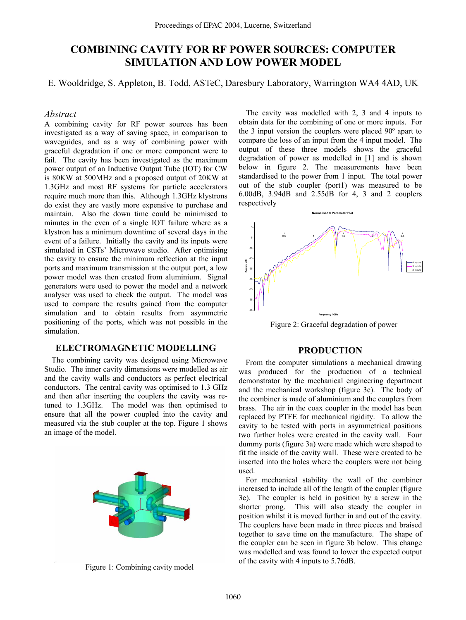# **COMBINING CAVITY FOR RF POWER SOURCES: COMPUTER SIMULATION AND LOW POWER MODEL**

E. Wooldridge, S. Appleton, B. Todd, ASTeC, Daresbury Laboratory, Warrington WA4 4AD, UK

# *Abstract*

A combining cavity for RF power sources has been investigated as a way of saving space, in comparison to waveguides, and as a way of combining power with graceful degradation if one or more component were to fail. The cavity has been investigated as the maximum power output of an Inductive Output Tube (IOT) for CW is 80KW at 500MHz and a proposed output of 20KW at 1.3GHz and most RF systems for particle accelerators require much more than this. Although 1.3GHz klystrons do exist they are vastly more expensive to purchase and maintain. Also the down time could be minimised to minutes in the even of a single IOT failure where as a klystron has a minimum downtime of several days in the event of a failure. Initially the cavity and its inputs were simulated in CSTs' Microwave studio. After optimising the cavity to ensure the minimum reflection at the input ports and maximum transmission at the output port, a low power model was then created from aluminium. Signal generators were used to power the model and a network analyser was used to check the output. The model was used to compare the results gained from the computer simulation and to obtain results from asymmetric positioning of the ports, which was not possible in the simulation.

# **ELECTROMAGNETIC MODELLING**

The combining cavity was designed using Microwave Studio. The inner cavity dimensions were modelled as air and the cavity walls and conductors as perfect electrical conductors. The central cavity was optimised to 1.3 GHz and then after inserting the couplers the cavity was retuned to 1.3GHz. The model was then optimised to ensure that all the power coupled into the cavity and measured via the stub coupler at the top. Figure 1 shows an image of the model.



The cavity was modelled with 2, 3 and 4 inputs to obtain data for the combining of one or more inputs. For the 3 input version the couplers were placed 90º apart to compare the loss of an input from the 4 input model. The output of these three models shows the graceful degradation of power as modelled in [1] and is shown below in figure 2. The measurements have been standardised to the power from 1 input. The total power out of the stub coupler (port1) was measured to be 6.00dB, 3.94dB and 2.55dB for 4, 3 and 2 couplers respectively



Figure 2: Graceful degradation of power

# **PRODUCTION**

From the computer simulations a mechanical drawing was produced for the production of a technical demonstrator by the mechanical engineering department and the mechanical workshop (figure 3c). The body of the combiner is made of aluminium and the couplers from brass. The air in the coax coupler in the model has been replaced by PTFE for mechanical rigidity. To allow the cavity to be tested with ports in asymmetrical positions two further holes were created in the cavity wall. Four dummy ports (figure 3a) were made which were shaped to fit the inside of the cavity wall. These were created to be inserted into the holes where the couplers were not being used.

For mechanical stability the wall of the combiner increased to include all of the length of the coupler (figure 3e). The coupler is held in position by a screw in the shorter prong. This will also steady the coupler in position whilst it is moved further in and out of the cavity. The couplers have been made in three pieces and braised together to save time on the manufacture. The shape of the coupler can be seen in figure 3b below. This change was modelled and was found to lower the expected output of the cavity with 4 inputs to 5.76dB.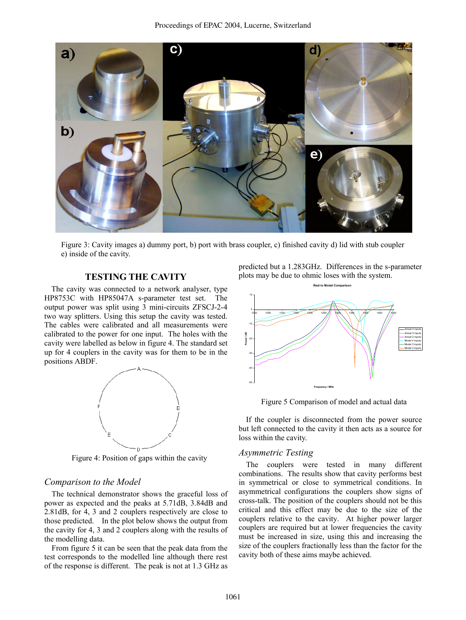

Figure 3: Cavity images a) dummy port, b) port with brass coupler, c) finished cavity d) lid with stub coupler e) inside of the cavity.

# **TESTING THE CAVITY**

The cavity was connected to a network analyser, type HP8753C with HP85047A s-parameter test set. The output power was split using 3 mini-circuits ZFSCJ-2-4 two way splitters. Using this setup the cavity was tested. The cables were calibrated and all measurements were calibrated to the power for one input. The holes with the cavity were labelled as below in figure 4. The standard set up for 4 couplers in the cavity was for them to be in the positions ABDF.



Figure 4: Position of gaps within the cavity

# *Comparison to the Model*

The technical demonstrator shows the graceful loss of power as expected and the peaks at 5.71dB, 3.84dB and 2.81dB, for 4, 3 and 2 couplers respectively are close to those predicted. In the plot below shows the output from the cavity for 4, 3 and 2 couplers along with the results of the modelling data.

From figure 5 it can be seen that the peak data from the test corresponds to the modelled line although there rest of the response is different. The peak is not at 1.3 GHz as

predicted but a 1.283GHz. Differences in the s-parameter plots may be due to ohmic loses with the system.



Figure 5 Comparison of model and actual data

If the coupler is disconnected from the power source but left connected to the cavity it then acts as a source for loss within the cavity.

#### *Asymmetric Testing*

The couplers were tested in many different combinations. The results show that cavity performs best in symmetrical or close to symmetrical conditions. In asymmetrical configurations the couplers show signs of cross-talk. The position of the couplers should not be this critical and this effect may be due to the size of the couplers relative to the cavity. At higher power larger couplers are required but at lower frequencies the cavity must be increased in size, using this and increasing the size of the couplers fractionally less than the factor for the cavity both of these aims maybe achieved.